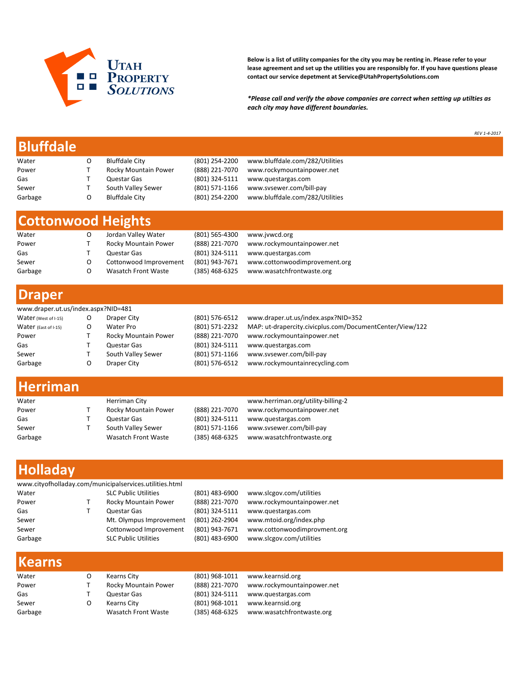

Below is a list of utility companies for the city you may be renting in. Please refer to your lease agreement and set up the utilities you are responsibly for. If you have questions please contact our service depetment at Service@UtahPropertySolutions.com

\*Please call and verify the above companies are correct when setting up utilties as each city may have different boundaries.

REV 1-4-2017

### Bluffdale

| <b>Bluffdale City</b> | (801) 254-2200 | www.bluffdale.com/282/Utilities |
|-----------------------|----------------|---------------------------------|
| Rocky Mountain Power  | (888) 221-7070 | www.rockymountainpower.net      |
| Questar Gas           | (801) 324-5111 | www.questargas.com              |
| South Valley Sewer    | (801) 571-1166 | www.sysewer.com/bill-pay        |
| <b>Bluffdale City</b> | (801) 254-2200 | www.bluffdale.com/282/Utilities |
|                       |                |                                 |

## Cottonwood Heights

| Water   | Jordan Valley Water    | (801) 565-4300 | www.jvwcd.org                 |
|---------|------------------------|----------------|-------------------------------|
| Power   | Rocky Mountain Power   | (888) 221-7070 | www.rockymountainpower.net    |
| Gas     | Questar Gas            | (801) 324-5111 | www.guestargas.com            |
| Sewer   | Cottonwood Improvement | (801) 943-7671 | www.cottonwoodimprovement.org |
| Garbage | Wasatch Front Waste    | (385) 468-6325 | www.wasatchfrontwaste.org     |

#### Draper

| www.draper.ut.us/index.aspx?NID=481 |  |                      |                |                                                          |  |  |
|-------------------------------------|--|----------------------|----------------|----------------------------------------------------------|--|--|
| Water (West of I-15)                |  | Draper City          | (801) 576-6512 | www.draper.ut.us/index.aspx?NID=352                      |  |  |
| Water (East of I-15)                |  | Water Pro            | (801) 571-2232 | MAP: ut-drapercity.civicplus.com/DocumentCenter/View/122 |  |  |
| Power                               |  | Rocky Mountain Power | (888) 221-7070 | www.rockymountainpower.net                               |  |  |
| Gas                                 |  | Questar Gas          | (801) 324-5111 | www.guestargas.com                                       |  |  |
| Sewer                               |  | South Valley Sewer   | (801) 571-1166 | www.sysewer.com/bill-pay                                 |  |  |
| Garbage                             |  | Draper City          | (801) 576-6512 | www.rockymountainrecycling.com                           |  |  |

#### Herriman

| Water   | Herriman City        |                | www.herriman.org/utility-billing-2 |
|---------|----------------------|----------------|------------------------------------|
| Power   | Rocky Mountain Power | (888) 221-7070 | www.rockymountainpower.net         |
| Gas     | Questar Gas          | (801) 324-5111 | www.guestargas.com                 |
| Sewer   | South Valley Sewer   | (801) 571-1166 | www.sysewer.com/bill-pay           |
| Garbage | Wasatch Front Waste  | (385) 468-6325 | www.wasatchfrontwaste.org          |

# Holladay

| www.cityofholladay.com/municipalservices.utilities.html |  |                             |                |                              |  |  |  |
|---------------------------------------------------------|--|-----------------------------|----------------|------------------------------|--|--|--|
| Water                                                   |  | <b>SLC Public Utilities</b> | (801) 483-6900 | www.slcgov.com/utilities     |  |  |  |
| Power                                                   |  | Rocky Mountain Power        | (888) 221-7070 | www.rockymountainpower.net   |  |  |  |
| Gas                                                     |  | Questar Gas                 | (801) 324-5111 | www.questargas.com           |  |  |  |
| Sewer                                                   |  | Mt. Olympus Improvement     | (801) 262-2904 | www.mtoid.org/index.php      |  |  |  |
| Sewer                                                   |  | Cottonwood Improvement      | (801) 943-7671 | www.cottonwoodimprovment.org |  |  |  |
| Garbage                                                 |  | <b>SLC Public Utilities</b> | (801) 483-6900 | www.slcgov.com/utilities     |  |  |  |
|                                                         |  |                             |                |                              |  |  |  |

| Kearns City          | (801) 968-1011 | www.kearnsid.org                         |
|----------------------|----------------|------------------------------------------|
| Rocky Mountain Power | (888) 221-7070 | www.rockymountainpower.net               |
| Questar Gas          | (801) 324-5111 | www.questargas.com                       |
| Kearns City          | (801) 968-1011 | www.kearnsid.org                         |
| Wasatch Front Waste  |                | (385) 468-6325 www.wasatchfrontwaste.org |
|                      |                |                                          |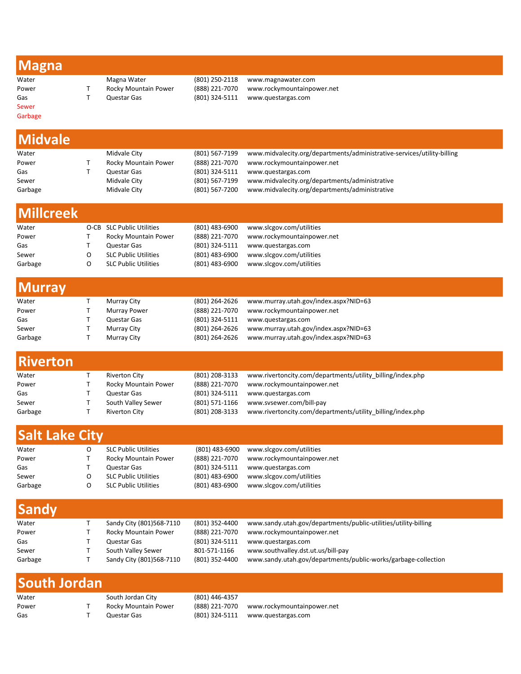|--|

Sewer

Water Magna Water (801) 250-2118 www.magnawater.com Power T Rocky Mountain Power (888) 221-7070 www.rockymountainpower.net<br>Gas T Questar Gas (801) 324-5111 www.questargas.com  $(801)$  324-5111 www.questargas.com

Garbage

| <b>Midvale</b>        |              |                             |                |                                                                         |
|-----------------------|--------------|-----------------------------|----------------|-------------------------------------------------------------------------|
| Water                 |              | Midvale City                | (801) 567-7199 | www.midvalecity.org/departments/administrative-services/utility-billing |
| Power                 | Т            | Rocky Mountain Power        | (888) 221-7070 | www.rockymountainpower.net                                              |
| Gas                   | T            | Questar Gas                 | (801) 324-5111 | www.questargas.com                                                      |
| Sewer                 |              | Midvale City                | (801) 567-7199 | www.midvalecity.org/departments/administrative                          |
| Garbage               |              | Midvale City                | (801) 567-7200 | www.midvalecity.org/departments/administrative                          |
|                       |              |                             |                |                                                                         |
| <b>Millcreek</b>      |              |                             |                |                                                                         |
| Water                 |              | O-CB SLC Public Utilities   | (801) 483-6900 | www.slcgov.com/utilities                                                |
| Power                 | Т            | Rocky Mountain Power        | (888) 221-7070 | www.rockymountainpower.net                                              |
| Gas                   | T            | Questar Gas                 | (801) 324-5111 | www.questargas.com                                                      |
| Sewer                 | O            | <b>SLC Public Utilities</b> | (801) 483-6900 | www.slcgov.com/utilities                                                |
| Garbage               | O            | <b>SLC Public Utilities</b> | (801) 483-6900 | www.slcgov.com/utilities                                                |
|                       |              |                             |                |                                                                         |
| <b>Murray</b>         |              |                             |                |                                                                         |
| Water                 | T            | Murray City                 | (801) 264-2626 | www.murray.utah.gov/index.aspx?NID=63                                   |
| Power                 | T            | <b>Murray Power</b>         | (888) 221-7070 | www.rockymountainpower.net                                              |
| Gas                   | T            | Questar Gas                 | (801) 324-5111 | www.questargas.com                                                      |
| Sewer                 | T            | Murray City                 | (801) 264-2626 | www.murray.utah.gov/index.aspx?NID=63                                   |
| Garbage               | T            | Murray City                 | (801) 264-2626 | www.murray.utah.gov/index.aspx?NID=63                                   |
|                       |              |                             |                |                                                                         |
| <b>Riverton</b>       |              |                             |                |                                                                         |
| Water                 | Т            | <b>Riverton City</b>        | (801) 208-3133 | www.rivertoncity.com/departments/utility_billing/index.php              |
| Power                 | Τ            | Rocky Mountain Power        | (888) 221-7070 | www.rockymountainpower.net                                              |
| Gas                   | T            | Questar Gas                 | (801) 324-5111 | www.questargas.com                                                      |
| Sewer                 | T            | South Valley Sewer          | (801) 571-1166 | www.svsewer.com/bill-pay                                                |
| Garbage               | T            | <b>Riverton City</b>        | (801) 208-3133 | www.rivertoncity.com/departments/utility_billing/index.php              |
|                       |              |                             |                |                                                                         |
| <b>Salt Lake City</b> |              |                             |                |                                                                         |
| Water                 | O            | <b>SLC Public Utilities</b> | (801) 483-6900 | www.slcgov.com/utilities                                                |
| Power                 | Τ            | Rocky Mountain Power        | (888) 221-7070 | www.rockymountainpower.net                                              |
| Gas                   | T            | Questar Gas                 | (801) 324-5111 | www.questargas.com                                                      |
| Sewer                 | O            | <b>SLC Public Utilities</b> | (801) 483-6900 | www.slcgov.com/utilities                                                |
| Garbage               | O            | <b>SLC Public Utilities</b> | (801) 483-6900 | www.slcgov.com/utilities                                                |
| <b>Sandy</b>          |              |                             |                |                                                                         |
| Water                 | Т            | Sandy City (801)568-7110    | (801) 352-4400 | www.sandy.utah.gov/departments/public-utilities/utility-billing         |
| Power                 | Τ            | Rocky Mountain Power        | (888) 221-7070 | www.rockymountainpower.net                                              |
| Gas                   | T            | Questar Gas                 | (801) 324-5111 | www.questargas.com                                                      |
| Sewer                 | $\mathsf{T}$ | South Valley Sewer          | 801-571-1166   | www.southvalley.dst.ut.us/bill-pay                                      |
| Garbage               | T            | Sandy City (801)568-7110    | (801) 352-4400 | www.sandy.utah.gov/departments/public-works/garbage-collection          |
|                       |              |                             |                |                                                                         |
| <b>South Jordan</b>   |              |                             |                |                                                                         |
| Water                 |              | South Jordan City           | (801) 446-4357 |                                                                         |
| Power                 | Т            | Rocky Mountain Power        | (888) 221-7070 | www.rockymountainpower.net                                              |
| Gas                   | $\mathsf{T}$ | Questar Gas                 | (801) 324-5111 | www.questargas.com                                                      |